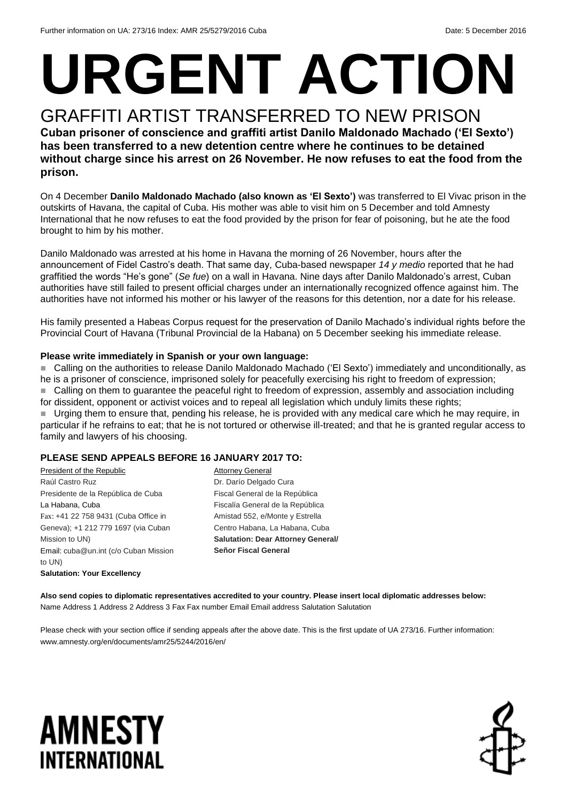# **URGENT ACTION**

#### GRAFFITI ARTIST TRANSFERRED TO NEW PRISON **Cuban prisoner of conscience and graffiti artist Danilo Maldonado Machado ('El Sexto') has been transferred to a new detention centre where he continues to be detained without charge since his arrest on 26 November. He now refuses to eat the food from the prison.**

On 4 December **Danilo Maldonado Machado (also known as 'El Sexto')** was transferred to El Vivac prison in the outskirts of Havana, the capital of Cuba. His mother was able to visit him on 5 December and told Amnesty International that he now refuses to eat the food provided by the prison for fear of poisoning, but he ate the food brought to him by his mother.

Danilo Maldonado was arrested at his home in Havana the morning of 26 November, hours after the announcement of Fidel Castro's death. That same day, Cuba-based newspaper *14 y medio* reported that he had graffitied the words "He's gone" (*Se fue*) on a wall in Havana. Nine days after Danilo Maldonado's arrest, Cuban authorities have still failed to present official charges under an internationally recognized offence against him. The authorities have not informed his mother or his lawyer of the reasons for this detention, nor a date for his release.

His family presented a Habeas Corpus request for the preservation of Danilo Machado's individual rights before the Provincial Court of Havana (Tribunal Provincial de la Habana) on 5 December seeking his immediate release.

#### **Please write immediately in Spanish or your own language:**

■ Calling on the authorities to release Danilo Maldonado Machado ('El Sexto') immediately and unconditionally, as he is a prisoner of conscience, imprisoned solely for peacefully exercising his right to freedom of expression; ■ Calling on them to guarantee the peaceful right to freedom of expression, assembly and association including for dissident, opponent or activist voices and to repeal all legislation which unduly limits these rights; Urging them to ensure that, pending his release, he is provided with any medical care which he may require, in particular if he refrains to eat; that he is not tortured or otherwise ill-treated; and that he is granted regular access to family and lawyers of his choosing.

#### **PLEASE SEND APPEALS BEFORE 16 JANUARY 2017 TO:**

President of the Republic Raúl Castro Ruz Presidente de la República de Cuba La Habana, Cuba Fax: +41 22 758 9431 (Cuba Office in Geneva); +1 212 779 1697 (via Cuban Mission to UN) Email: cuba@un.int (c/o Cuban Mission to UN) **Salutation: Your Excellency**

**Attorney General** Dr. Darío Delgado Cura Fiscal General de la República Fiscalía General de la República Amistad 552, e/Monte y Estrella Centro Habana, La Habana, Cuba **Salutation: Dear Attorney General/ Señor Fiscal General**

**Also send copies to diplomatic representatives accredited to your country. Please insert local diplomatic addresses below:** Name Address 1 Address 2 Address 3 Fax Fax number Email Email address Salutation Salutation

Please check with your section office if sending appeals after the above date. This is the first update of UA 273/16. Further information: www.amnesty.org/en/documents/amr25/5244/2016/en/